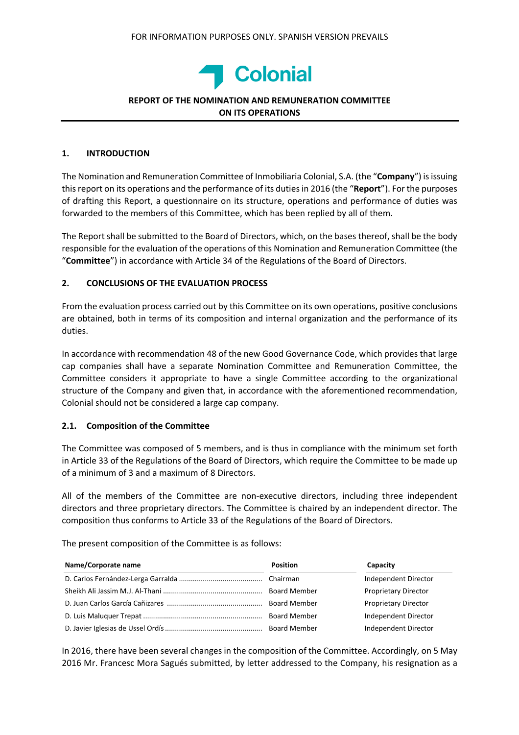

## **REPORT OF THE NOMINATION AND REMUNERATION COMMITTEE ON ITS OPERATIONS**

## **1. INTRODUCTION**

The Nomination and Remuneration Committee of Inmobiliaria Colonial, S.A. (the "**Company**") isissuing thisreport on its operations and the performance of its dutiesin 2016 (the "**Report**"). For the purposes of drafting this Report, a questionnaire on its structure, operations and performance of duties was forwarded to the members of this Committee, which has been replied by all of them.

The Report shall be submitted to the Board of Directors, which, on the bases thereof, shall be the body responsible for the evaluation of the operations of this Nomination and Remuneration Committee (the "**Committee**") in accordance with Article 34 of the Regulations of the Board of Directors.

## **2. CONCLUSIONS OF THE EVALUATION PROCESS**

From the evaluation process carried out by this Committee on its own operations, positive conclusions are obtained, both in terms of its composition and internal organization and the performance of its duties.

In accordance with recommendation 48 of the new Good Governance Code, which provides that large cap companies shall have a separate Nomination Committee and Remuneration Committee, the Committee considers it appropriate to have a single Committee according to the organizational structure of the Company and given that, in accordance with the aforementioned recommendation, Colonial should not be considered a large cap company.

## **2.1. Composition of the Committee**

The Committee was composed of 5 members, and is thus in compliance with the minimum set forth in Article 33 of the Regulations of the Board of Directors, which require the Committee to be made up of a minimum of 3 and a maximum of 8 Directors.

All of the members of the Committee are non‐executive directors, including three independent directors and three proprietary directors. The Committee is chaired by an independent director. The composition thus conforms to Article 33 of the Regulations of the Board of Directors.

The present composition of the Committee is as follows:

| Name/Corporate name | <b>Position</b>     | Capacity                    |
|---------------------|---------------------|-----------------------------|
|                     |                     | Independent Director        |
|                     | <b>Board Member</b> | <b>Proprietary Director</b> |
|                     | <b>Board Member</b> | <b>Proprietary Director</b> |
|                     |                     | Independent Director        |
|                     |                     | Independent Director        |

In 2016, there have been several changes in the composition of the Committee. Accordingly, on 5 May 2016 Mr. Francesc Mora Sagués submitted, by letter addressed to the Company, his resignation as a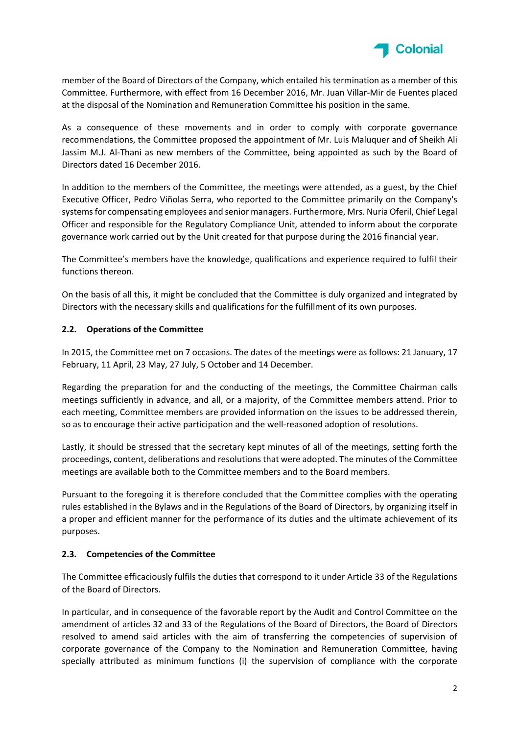

member of the Board of Directors of the Company, which entailed his termination as a member of this Committee. Furthermore, with effect from 16 December 2016, Mr. Juan Villar‐Mir de Fuentes placed at the disposal of the Nomination and Remuneration Committee his position in the same.

As a consequence of these movements and in order to comply with corporate governance recommendations, the Committee proposed the appointment of Mr. Luis Maluquer and of Sheikh Ali Jassim M.J. Al‐Thani as new members of the Committee, being appointed as such by the Board of Directors dated 16 December 2016.

In addition to the members of the Committee, the meetings were attended, as a guest, by the Chief Executive Officer, Pedro Viñolas Serra, who reported to the Committee primarily on the Company's systemsfor compensating employees and senior managers. Furthermore, Mrs. Nuria Oferil, Chief Legal Officer and responsible for the Regulatory Compliance Unit, attended to inform about the corporate governance work carried out by the Unit created for that purpose during the 2016 financial year.

The Committee's members have the knowledge, qualifications and experience required to fulfil their functions thereon.

On the basis of all this, it might be concluded that the Committee is duly organized and integrated by Directors with the necessary skills and qualifications for the fulfillment of its own purposes.

# **2.2. Operations of the Committee**

In 2015, the Committee met on 7 occasions. The dates of the meetings were as follows: 21 January, 17 February, 11 April, 23 May, 27 July, 5 October and 14 December.

Regarding the preparation for and the conducting of the meetings, the Committee Chairman calls meetings sufficiently in advance, and all, or a majority, of the Committee members attend. Prior to each meeting, Committee members are provided information on the issues to be addressed therein, so as to encourage their active participation and the well-reasoned adoption of resolutions.

Lastly, it should be stressed that the secretary kept minutes of all of the meetings, setting forth the proceedings, content, deliberations and resolutions that were adopted. The minutes of the Committee meetings are available both to the Committee members and to the Board members.

Pursuant to the foregoing it is therefore concluded that the Committee complies with the operating rules established in the Bylaws and in the Regulations of the Board of Directors, by organizing itself in a proper and efficient manner for the performance of its duties and the ultimate achievement of its purposes.

## **2.3. Competencies of the Committee**

The Committee efficaciously fulfils the duties that correspond to it under Article 33 of the Regulations of the Board of Directors.

In particular, and in consequence of the favorable report by the Audit and Control Committee on the amendment of articles 32 and 33 of the Regulations of the Board of Directors, the Board of Directors resolved to amend said articles with the aim of transferring the competencies of supervision of corporate governance of the Company to the Nomination and Remuneration Committee, having specially attributed as minimum functions (i) the supervision of compliance with the corporate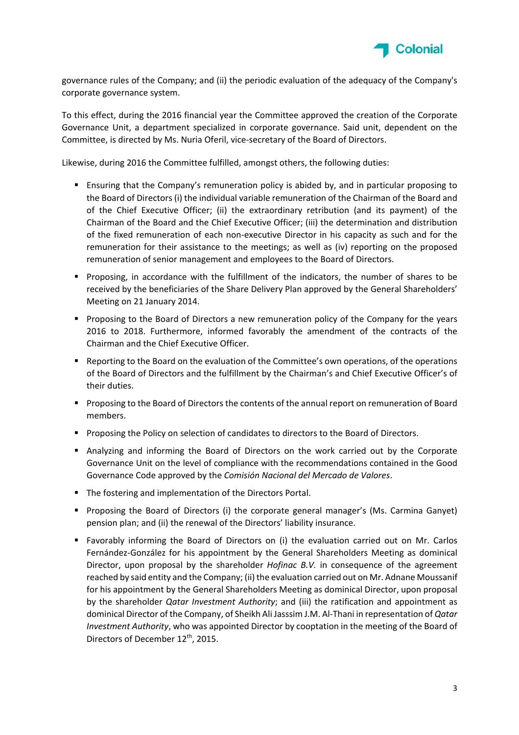

governance rules of the Company; and (ii) the periodic evaluation of the adequacy of the Company's corporate governance system.

To this effect, during the 2016 financial year the Committee approved the creation of the Corporate Governance Unit, a department specialized in corporate governance. Said unit, dependent on the Committee, is directed by Ms. Nuria Oferil, vice‐secretary of the Board of Directors.

Likewise, during 2016 the Committee fulfilled, amongst others, the following duties:

- Ensuring that the Company's remuneration policy is abided by, and in particular proposing to the Board of Directors (i) the individual variable remuneration of the Chairman of the Board and of the Chief Executive Officer; (ii) the extraordinary retribution (and its payment) of the Chairman of the Board and the Chief Executive Officer; (iii) the determination and distribution of the fixed remuneration of each non‐executive Director in his capacity as such and for the remuneration for their assistance to the meetings; as well as (iv) reporting on the proposed remuneration of senior management and employees to the Board of Directors.
- Proposing, in accordance with the fulfillment of the indicators, the number of shares to be received by the beneficiaries of the Share Delivery Plan approved by the General Shareholders' Meeting on 21 January 2014.
- **Proposing to the Board of Directors a new remuneration policy of the Company for the years** 2016 to 2018. Furthermore, informed favorably the amendment of the contracts of the Chairman and the Chief Executive Officer.
- **•** Reporting to the Board on the evaluation of the Committee's own operations, of the operations of the Board of Directors and the fulfillment by the Chairman's and Chief Executive Officer's of their duties.
- **Proposing to the Board of Directors the contents of the annual report on remuneration of Board** members.
- **Proposing the Policy on selection of candidates to directors to the Board of Directors.**
- Analyzing and informing the Board of Directors on the work carried out by the Corporate Governance Unit on the level of compliance with the recommendations contained in the Good Governance Code approved by the *Comisión Nacional del Mercado de Valores*.
- The fostering and implementation of the Directors Portal.
- **Proposing the Board of Directors (i) the corporate general manager's (Ms. Carmina Ganyet)** pension plan; and (ii) the renewal of the Directors' liability insurance.
- Favorably informing the Board of Directors on (i) the evaluation carried out on Mr. Carlos Fernández‐González for his appointment by the General Shareholders Meeting as dominical Director, upon proposal by the shareholder *Hofinac B.V.* in consequence of the agreement reached by said entity and the Company; (ii) the evaluation carried out on Mr. Adnane Moussanif for his appointment by the General Shareholders Meeting as dominical Director, upon proposal by the shareholder *Qatar Investment Authority*; and (iii) the ratification and appointment as dominical Director of the Company, of Sheikh Ali Jasssim J.M. Al‐Thani in representation of *Qatar Investment Authority*, who was appointed Director by cooptation in the meeting of the Board of Directors of December 12<sup>th</sup>, 2015.